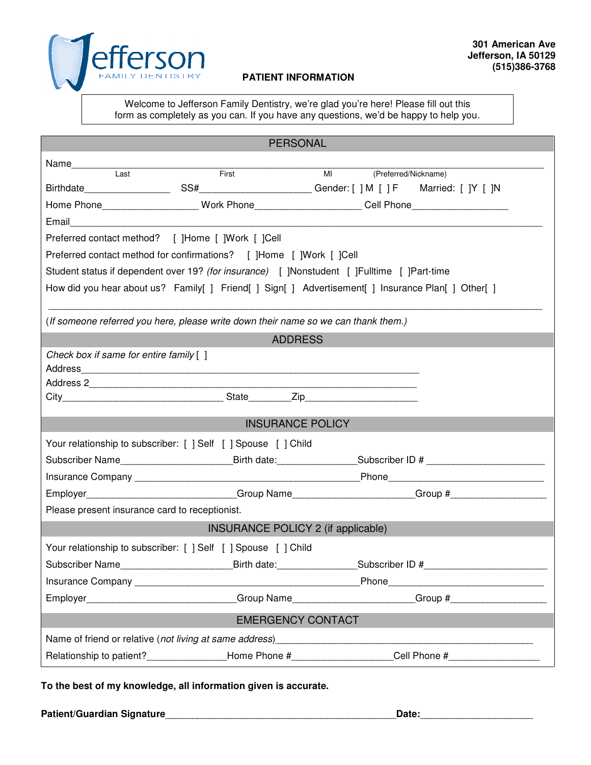

## **PATIENT INFORMATION**

Welcome to Jefferson Family Dentistry, we're glad you're here! Please fill out this form as completely as you can. If you have any questions, we'd be happy to help you.

| <b>PERSONAL</b>                                                                                    |  |                                                                                                                                                                                                                                |  |
|----------------------------------------------------------------------------------------------------|--|--------------------------------------------------------------------------------------------------------------------------------------------------------------------------------------------------------------------------------|--|
| Name<br>Last First                                                                                 |  |                                                                                                                                                                                                                                |  |
|                                                                                                    |  | MI (Preferred/Nickname)                                                                                                                                                                                                        |  |
|                                                                                                    |  |                                                                                                                                                                                                                                |  |
|                                                                                                    |  | Home Phone____________________Work Phone_______________________Cell Phone___________________________                                                                                                                           |  |
|                                                                                                    |  |                                                                                                                                                                                                                                |  |
| Preferred contact method? [ ]Home [ ]Work [ ]Cell                                                  |  |                                                                                                                                                                                                                                |  |
| Preferred contact method for confirmations? [ ]Home [ ]Work [ ]Cell                                |  |                                                                                                                                                                                                                                |  |
| Student status if dependent over 19? (for insurance) [ ]Nonstudent [ ]Fulltime [ ]Part-time        |  |                                                                                                                                                                                                                                |  |
| How did you hear about us? Family[ ] Friend[ ] Sign[ ] Advertisement[ ] Insurance Plan[ ] Other[ ] |  |                                                                                                                                                                                                                                |  |
| (If someone referred you here, please write down their name so we can thank them.)                 |  |                                                                                                                                                                                                                                |  |
| <b>ADDRESS</b>                                                                                     |  |                                                                                                                                                                                                                                |  |
| Check box if same for entire family [ ]                                                            |  |                                                                                                                                                                                                                                |  |
|                                                                                                    |  |                                                                                                                                                                                                                                |  |
|                                                                                                    |  |                                                                                                                                                                                                                                |  |
|                                                                                                    |  |                                                                                                                                                                                                                                |  |
| <b>INSURANCE POLICY</b>                                                                            |  |                                                                                                                                                                                                                                |  |
| Your relationship to subscriber: [ ] Self [ ] Spouse [ ] Child                                     |  |                                                                                                                                                                                                                                |  |
|                                                                                                    |  | Subscriber Name_____________________________Birth date:___________________Subscriber ID # ____________________                                                                                                                 |  |
|                                                                                                    |  |                                                                                                                                                                                                                                |  |
|                                                                                                    |  | Employer___________________________Group Name____________________Group #____________________________                                                                                                                           |  |
| Please present insurance card to receptionist.                                                     |  |                                                                                                                                                                                                                                |  |
| <b>INSURANCE POLICY 2 (if applicable)</b>                                                          |  |                                                                                                                                                                                                                                |  |
| Your relationship to subscriber: [ ] Self [ ] Spouse [ ] Child                                     |  |                                                                                                                                                                                                                                |  |
|                                                                                                    |  | Subscriber Name____________________________Birth date:__________________Subscriber ID #_______________________                                                                                                                 |  |
|                                                                                                    |  | Insurance Company exercise the contract of the contract of the Phone Phone Phone Company of the contract of the contract of the contract of the contract of the contract of the contract of the contract of the contract of th |  |
|                                                                                                    |  | _Group Name___________________________Group #___________________________________                                                                                                                                               |  |
| <b>EMERGENCY CONTACT</b>                                                                           |  |                                                                                                                                                                                                                                |  |
|                                                                                                    |  |                                                                                                                                                                                                                                |  |
| Relationship to patient?________________________Home Phone #____________________                   |  | $\text{Cell}$ Phone #___________________                                                                                                                                                                                       |  |

**To the best of my knowledge, all information given is accurate.** 

**Patient/Guardian Signature**\_\_\_\_\_\_\_\_\_\_\_\_\_\_\_\_\_\_\_\_\_\_\_\_\_\_\_\_\_\_\_\_\_\_\_\_\_\_\_\_\_\_\_**Date:**\_\_\_\_\_\_\_\_\_\_\_\_\_\_\_\_\_\_\_\_\_